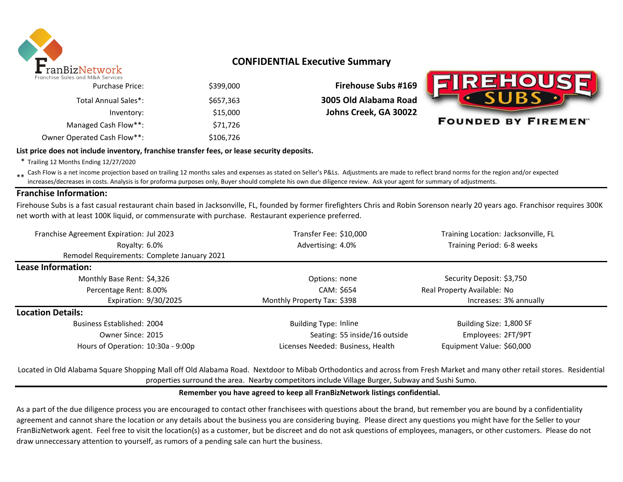

# **CONFIDENTIAL Executive Summary**

| inchise Sules und M&A Services |           |
|--------------------------------|-----------|
| <b>Purchase Price:</b>         | \$399,000 |
| Total Annual Sales*:           | \$657,363 |
| Inventory:                     | \$15,000  |
| Managed Cash Flow**:           | \$71,726  |
| Owner Operated Cash Flow**:    | \$106,726 |

**Firehouse Subs #169** \$657,363 **3005 Old Alabama Road Johns Creek, GA 30022** 



#### **List price does not include inventory, franchise transfer fees, or lease security deposits.**

\* Trailing 12 Months Ending 12/27/2020

\*\* Cash Flow is a net income projection based on trailing 12 months sales and expenses as stated on Seller's P&Ls. Adjustments are made to reflect brand norms for the region and/or expected increases/decreases in costs. Analysis is for proforma purposes only, Buyer should complete his own due diligence review. Ask your agent for summary of adjustments.

### **Franchise Information:**

Firehouse Subs is a fast casual restaurant chain based in Jacksonville, FL, founded by former firefighters Chris and Robin Sorenson nearly 20 years ago. Franchisor requires 300K net worth with at least 100K liquid, or commensurate with purchase. Restaurant experience preferred.

| Franchise Agreement Expiration: Jul 2023    |  | Transfer Fee: \$10,000            | Training Location: Jacksonville, FL |  |  |
|---------------------------------------------|--|-----------------------------------|-------------------------------------|--|--|
| Royalty: 6.0%                               |  | Advertising: 4.0%                 | Training Period: 6-8 weeks          |  |  |
| Remodel Requirements: Complete January 2021 |  |                                   |                                     |  |  |
| Lease Information:                          |  |                                   |                                     |  |  |
| Monthly Base Rent: \$4,326                  |  | Options: none                     | Security Deposit: \$3,750           |  |  |
| Percentage Rent: 8.00%                      |  | CAM: \$654                        | Real Property Available: No         |  |  |
| Expiration: 9/30/2025                       |  | Monthly Property Tax: \$398       | Increases: 3% annually              |  |  |
| <b>Location Details:</b>                    |  |                                   |                                     |  |  |
| Business Established: 2004                  |  | <b>Building Type: Inline</b>      | Building Size: 1,800 SF             |  |  |
| Owner Since: 2015                           |  | Seating: 55 inside/16 outside     | Employees: 2FT/9PT                  |  |  |
| Hours of Operation: 10:30a - 9:00p          |  | Licenses Needed: Business, Health | Equipment Value: \$60,000           |  |  |

Located in Old Alabama Square Shopping Mall off Old Alabama Road. Nextdoor to Mibab Orthodontics and across from Fresh Market and many other retail stores. Residential properties surround the area. Nearby competitors include Village Burger, Subway and Sushi Sumo.

### **Remember you have agreed to keep all FranBizNetwork listings confidential.**

As a part of the due diligence process you are encouraged to contact other franchisees with questions about the brand, but remember you are bound by a confidentiality agreement and cannot share the location or any details about the business you are considering buying. Please direct any questions you might have for the Seller to your FranBizNetwork agent. Feel free to visit the location(s) as a customer, but be discreet and do not ask questions of employees, managers, or other customers. Please do not draw unneccessary attention to yourself, as rumors of a pending sale can hurt the business.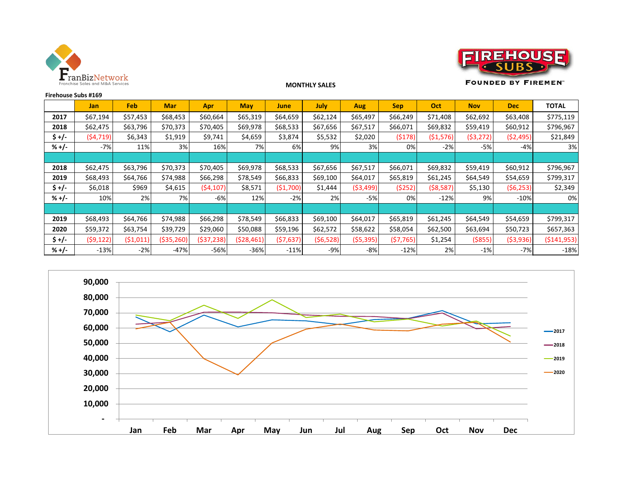



**FOUNDED BY FIREMENT** 

| Firehouse Subs #169 |            |          |            |            |            |            |             |            |            |            |            |            |               |
|---------------------|------------|----------|------------|------------|------------|------------|-------------|------------|------------|------------|------------|------------|---------------|
|                     | <b>Jan</b> | Feb      | <b>Mar</b> | <b>Apr</b> | <b>May</b> | June       | <b>July</b> | Aug        | <b>Sep</b> | <b>Oct</b> | <b>Nov</b> | <b>Dec</b> | <b>TOTAL</b>  |
| 2017                | \$67,194   | \$57,453 | \$68,453   | \$60,664   | \$65,319   | \$64,659   | \$62,124    | \$65,497   | \$66,249   | \$71,408   | \$62,692   | \$63,408   | \$775,119     |
| 2018                | \$62,475   | \$63,796 | \$70,373   | \$70,405   | \$69,978   | \$68,533   | \$67,656    | \$67,517   | \$66,071   | \$69,832   | \$59,419   | \$60,912   | \$796,967     |
| $$+/-$              | (54, 719)  | \$6,343  | \$1,919    | \$9,741    | \$4,659    | \$3,874    | \$5,532     | \$2,020    | (5178)     | (51, 576)  | ( \$3,272) | (52, 495)  | \$21,849      |
| $% +/-$             | $-7%$      | 11%      | 3%         | 16%        | 7%         | 6%         | 9%          | 3%         | 0%         | $-2%$      | $-5%$      | -4%        | 3%            |
|                     |            |          |            |            |            |            |             |            |            |            |            |            |               |
| 2018                | \$62,475   | \$63,796 | \$70,373   | \$70,405   | \$69,978   | \$68,533   | \$67,656    | \$67,517   | \$66,071   | \$69,832   | \$59,419   | \$60,912   | \$796,967     |
| 2019                | \$68,493   | \$64,766 | \$74,988   | \$66,298   | \$78,549   | \$66,833   | \$69,100    | \$64,017   | \$65,819   | \$61,245   | \$64,549   | \$54,659   | \$799,317     |
| \$+/-               | \$6,018    | \$969    | \$4,615    | (54, 107)  | \$8,571    | ( \$1,700) | \$1,444     | ( \$3,499) | (5252)     | ( \$8,587) | \$5,130    | (56, 253)  | \$2,349       |
| $% +/-$             | 10%        | 2%       | 7%         | $-6%$      | 12%        | $-2%$      | 2%          | $-5%$      | 0%         | $-12%$     | 9%         | $-10%$     | 0%            |
|                     |            |          |            |            |            |            |             |            |            |            |            |            |               |
| 2019                | \$68,493   | \$64,766 | \$74,988   | \$66,298   | \$78,549   | \$66,833   | \$69,100    | \$64,017   | \$65,819   | \$61,245   | \$64,549   | \$54,659   | \$799,317     |
| 2020                | \$59,372   | \$63,754 | \$39,729   | \$29,060   | \$50,088   | \$59,196   | \$62,572    | \$58,622   | \$58,054   | \$62,500   | \$63,694   | \$50,723   | \$657,363     |
| \$+/-               | (59, 122)  | (51,011) | (\$35,260) | (\$37,238) | (528, 461) | (57, 637)  | (56, 528)   | (55, 395)  | (57, 765)  | \$1,254    | ( \$855)   | ( \$3,936) | ( \$141, 953) |
| $% +/-$             | $-13%$     | $-2%$    | $-47%$     | $-56%$     | $-36%$     | $-11%$     | $-9%$       | $-8%$      | $-12%$     | 2%         | $-1%$      | $-7%$      | $-18%$        |

**MONTHLY SALES**